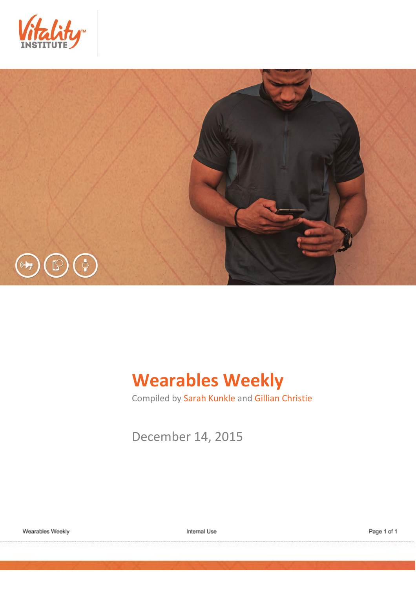



# **Wearables Weekly**

Compiled by Sarah Kunkle and Gillian Christie

December 14, 2015

Internal Use

Page 1 of 1